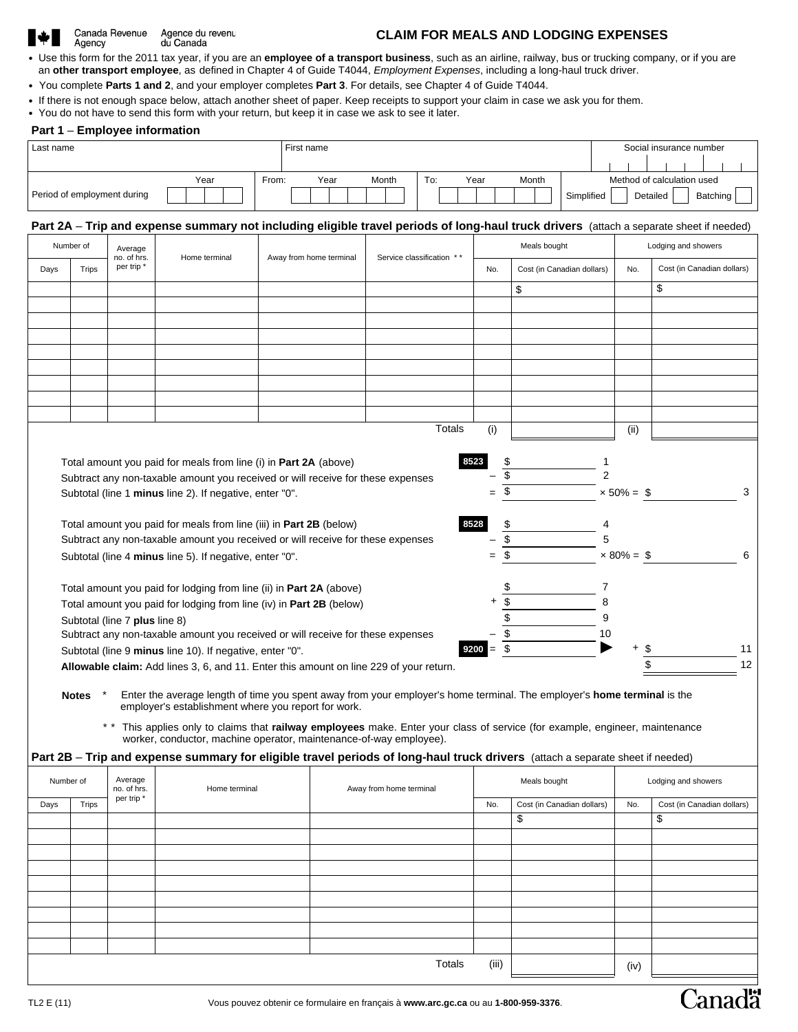## Canada Revenue Agence du revenu<br>du Canada Agency

## **CLAIM FOR MEALS AND LODGING EXPENSES**

- Use this form for the 2011 tax year, if you are an **employee of a transport business**, such as an airline, railway, bus or trucking company, or if you are an **other transport employee**, as defined in Chapter 4 of Guide T4044, *Employment Expenses*, including a long-haul truck driver.
- You complete **Parts 1 and 2**, and your employer completes **Part 3**. For details, see Chapter 4 of Guide T4044.
- If there is not enough space below, attach another sheet of paper. Keep receipts to support your claim in case we ask you for them.
- You do not have to send this form with your return, but keep it in case we ask to see it later.

## **Part 1** – **Employee information**

| Last name                                                                                                                                             |                                                                                                                                                                                    |                                                                                                                                         |               |  |                                                                                                                                                                                |                         | First name |  |                         |                           |           |  |      |              | Social insurance number           |       |            |                            |  |                                   |   |                     |    |  |                     |                            |
|-------------------------------------------------------------------------------------------------------------------------------------------------------|------------------------------------------------------------------------------------------------------------------------------------------------------------------------------------|-----------------------------------------------------------------------------------------------------------------------------------------|---------------|--|--------------------------------------------------------------------------------------------------------------------------------------------------------------------------------|-------------------------|------------|--|-------------------------|---------------------------|-----------|--|------|--------------|-----------------------------------|-------|------------|----------------------------|--|-----------------------------------|---|---------------------|----|--|---------------------|----------------------------|
|                                                                                                                                                       |                                                                                                                                                                                    |                                                                                                                                         |               |  |                                                                                                                                                                                |                         |            |  |                         |                           |           |  |      |              |                                   |       |            |                            |  |                                   |   |                     |    |  |                     |                            |
| Year                                                                                                                                                  |                                                                                                                                                                                    |                                                                                                                                         |               |  | From:                                                                                                                                                                          | Year                    |            |  |                         | To:<br>Month              |           |  | Year | Month        |                                   |       |            |                            |  | Method of calculation used        |   |                     |    |  |                     |                            |
| Period of employment during                                                                                                                           |                                                                                                                                                                                    |                                                                                                                                         |               |  |                                                                                                                                                                                |                         |            |  |                         |                           |           |  |      |              |                                   |       | Simplified |                            |  | Detailed                          |   | Batching            |    |  |                     |                            |
|                                                                                                                                                       |                                                                                                                                                                                    | Part 2A - Trip and expense summary not including eligible travel periods of long-haul truck drivers (attach a separate sheet if needed) |               |  |                                                                                                                                                                                |                         |            |  |                         |                           |           |  |      |              |                                   |       |            |                            |  |                                   |   |                     |    |  |                     |                            |
|                                                                                                                                                       | Number of                                                                                                                                                                          | Average                                                                                                                                 |               |  |                                                                                                                                                                                |                         |            |  |                         |                           |           |  |      |              |                                   |       |            | Meals bought               |  |                                   |   |                     |    |  | Lodging and showers |                            |
| Days<br><b>Trips</b>                                                                                                                                  |                                                                                                                                                                                    | no. of hrs.<br>per trip*                                                                                                                | Home terminal |  |                                                                                                                                                                                | Away from home terminal |            |  |                         | Service classification ** |           |  |      |              | Cost (in Canadian dollars)<br>No. |       |            |                            |  | Cost (in Canadian dollars)<br>No. |   |                     |    |  |                     |                            |
|                                                                                                                                                       |                                                                                                                                                                                    |                                                                                                                                         |               |  |                                                                                                                                                                                |                         |            |  |                         |                           |           |  |      |              |                                   |       | \$         |                            |  |                                   |   | \$                  |    |  |                     |                            |
|                                                                                                                                                       |                                                                                                                                                                                    |                                                                                                                                         |               |  |                                                                                                                                                                                |                         |            |  |                         |                           |           |  |      |              |                                   |       |            |                            |  |                                   |   |                     |    |  |                     |                            |
|                                                                                                                                                       |                                                                                                                                                                                    |                                                                                                                                         |               |  |                                                                                                                                                                                |                         |            |  |                         |                           |           |  |      |              |                                   |       |            |                            |  |                                   |   |                     |    |  |                     |                            |
|                                                                                                                                                       |                                                                                                                                                                                    |                                                                                                                                         |               |  |                                                                                                                                                                                |                         |            |  |                         |                           |           |  |      |              |                                   |       |            |                            |  |                                   |   |                     |    |  |                     |                            |
|                                                                                                                                                       |                                                                                                                                                                                    |                                                                                                                                         |               |  |                                                                                                                                                                                |                         |            |  |                         |                           |           |  |      |              |                                   |       |            |                            |  |                                   |   |                     |    |  |                     |                            |
|                                                                                                                                                       |                                                                                                                                                                                    |                                                                                                                                         |               |  |                                                                                                                                                                                |                         |            |  |                         |                           |           |  |      |              |                                   |       |            |                            |  |                                   |   |                     |    |  |                     |                            |
|                                                                                                                                                       |                                                                                                                                                                                    |                                                                                                                                         |               |  |                                                                                                                                                                                |                         |            |  |                         |                           |           |  |      |              |                                   |       |            |                            |  |                                   |   |                     |    |  |                     |                            |
|                                                                                                                                                       |                                                                                                                                                                                    |                                                                                                                                         |               |  |                                                                                                                                                                                |                         |            |  |                         |                           |           |  |      |              |                                   |       |            |                            |  |                                   |   |                     |    |  |                     |                            |
|                                                                                                                                                       |                                                                                                                                                                                    |                                                                                                                                         |               |  |                                                                                                                                                                                |                         |            |  |                         |                           |           |  |      | Totals       |                                   |       |            |                            |  |                                   |   |                     |    |  |                     |                            |
|                                                                                                                                                       |                                                                                                                                                                                    |                                                                                                                                         |               |  |                                                                                                                                                                                |                         |            |  |                         |                           |           |  |      |              |                                   | (i)   |            |                            |  |                                   |   | (ii)                |    |  |                     |                            |
|                                                                                                                                                       |                                                                                                                                                                                    |                                                                                                                                         |               |  |                                                                                                                                                                                |                         |            |  |                         |                           |           |  |      |              |                                   |       |            |                            |  |                                   |   |                     |    |  |                     |                            |
|                                                                                                                                                       | 8523<br>\$<br>Total amount you paid for meals from line (i) in <b>Part 2A</b> (above)<br>$\overline{\$}$                                                                           |                                                                                                                                         |               |  |                                                                                                                                                                                |                         |            |  |                         |                           |           |  |      |              |                                   |       |            |                            |  |                                   |   |                     |    |  |                     |                            |
|                                                                                                                                                       | Subtract any non-taxable amount you received or will receive for these expenses<br>\$                                                                                              |                                                                                                                                         |               |  |                                                                                                                                                                                |                         |            |  |                         |                           |           |  | 3    |              |                                   |       |            |                            |  |                                   |   |                     |    |  |                     |                            |
|                                                                                                                                                       | Subtotal (line 1 minus line 2). If negative, enter "0".<br>$x 50\% = $$                                                                                                            |                                                                                                                                         |               |  |                                                                                                                                                                                |                         |            |  |                         |                           |           |  |      |              |                                   |       |            |                            |  |                                   |   |                     |    |  |                     |                            |
|                                                                                                                                                       | 8528<br>\$<br>Total amount you paid for meals from line (iii) in Part 2B (below)                                                                                                   |                                                                                                                                         |               |  |                                                                                                                                                                                |                         |            |  |                         |                           |           |  |      |              |                                   |       |            |                            |  |                                   |   |                     |    |  |                     |                            |
|                                                                                                                                                       |                                                                                                                                                                                    |                                                                                                                                         |               |  |                                                                                                                                                                                |                         |            |  |                         |                           |           |  |      |              |                                   |       | \$         |                            |  |                                   | 5 |                     |    |  |                     |                            |
|                                                                                                                                                       | Subtract any non-taxable amount you received or will receive for these expenses<br>\$<br>$\times 80\% = \$$<br>6<br>Subtotal (line 4 minus line 5). If negative, enter "0".<br>$=$ |                                                                                                                                         |               |  |                                                                                                                                                                                |                         |            |  |                         |                           |           |  |      |              |                                   |       |            |                            |  |                                   |   |                     |    |  |                     |                            |
|                                                                                                                                                       |                                                                                                                                                                                    |                                                                                                                                         |               |  |                                                                                                                                                                                |                         |            |  |                         |                           |           |  |      |              |                                   |       |            |                            |  |                                   |   |                     |    |  |                     |                            |
|                                                                                                                                                       | \$<br>Total amount you paid for lodging from line (ii) in Part 2A (above)                                                                                                          |                                                                                                                                         |               |  |                                                                                                                                                                                |                         |            |  |                         |                           |           |  |      |              |                                   |       |            |                            |  |                                   |   |                     |    |  |                     |                            |
|                                                                                                                                                       |                                                                                                                                                                                    | Total amount you paid for lodging from line (iv) in Part 2B (below)                                                                     |               |  |                                                                                                                                                                                |                         |            |  |                         |                           |           |  |      |              |                                   |       | \$         |                            |  |                                   | 8 |                     |    |  |                     |                            |
|                                                                                                                                                       |                                                                                                                                                                                    | Subtotal (line 7 plus line 8)                                                                                                           |               |  |                                                                                                                                                                                |                         |            |  |                         |                           |           |  |      |              |                                   |       | \$         |                            |  |                                   | 9 |                     |    |  |                     |                            |
| \$<br>Subtract any non-taxable amount you received or will receive for these expenses<br>10                                                           |                                                                                                                                                                                    |                                                                                                                                         |               |  |                                                                                                                                                                                |                         |            |  |                         |                           |           |  |      |              |                                   |       |            |                            |  |                                   |   |                     |    |  |                     |                            |
| Subtotal (line 9 minus line 10). If negative, enter "0".                                                                                              |                                                                                                                                                                                    |                                                                                                                                         |               |  |                                                                                                                                                                                |                         |            |  |                         | 9200                      | \$<br>$=$ |  |      |              |                                   |       | 11<br>\$   |                            |  |                                   |   |                     |    |  |                     |                            |
|                                                                                                                                                       |                                                                                                                                                                                    | Allowable claim: Add lines 3, 6, and 11. Enter this amount on line 229 of your return.                                                  |               |  |                                                                                                                                                                                |                         |            |  |                         |                           |           |  |      |              |                                   |       |            |                            |  |                                   |   |                     |    |  |                     | 12                         |
|                                                                                                                                                       |                                                                                                                                                                                    |                                                                                                                                         |               |  |                                                                                                                                                                                |                         |            |  |                         |                           |           |  |      |              |                                   |       |            |                            |  |                                   |   |                     |    |  |                     |                            |
|                                                                                                                                                       | <b>Notes</b>                                                                                                                                                                       |                                                                                                                                         |               |  | Enter the average length of time you spent away from your employer's home terminal. The employer's home terminal is the<br>employer's establishment where you report for work. |                         |            |  |                         |                           |           |  |      |              |                                   |       |            |                            |  |                                   |   |                     |    |  |                     |                            |
|                                                                                                                                                       |                                                                                                                                                                                    |                                                                                                                                         |               |  |                                                                                                                                                                                |                         |            |  |                         |                           |           |  |      |              |                                   |       |            |                            |  |                                   |   |                     |    |  |                     |                            |
|                                                                                                                                                       |                                                                                                                                                                                    | * * This applies only to claims that railway employees make. Enter your class of service (for example, engineer, maintenance            |               |  | worker, conductor, machine operator, maintenance-of-way employee).                                                                                                             |                         |            |  |                         |                           |           |  |      |              |                                   |       |            |                            |  |                                   |   |                     |    |  |                     |                            |
|                                                                                                                                                       |                                                                                                                                                                                    |                                                                                                                                         |               |  |                                                                                                                                                                                |                         |            |  |                         |                           |           |  |      |              |                                   |       |            |                            |  |                                   |   |                     |    |  |                     |                            |
| Part 2B - Trip and expense summary for eligible travel periods of long-haul truck drivers (attach a separate sheet if needed)<br>Average<br>Number of |                                                                                                                                                                                    |                                                                                                                                         |               |  |                                                                                                                                                                                |                         |            |  |                         |                           |           |  |      | Meals bought |                                   |       |            |                            |  |                                   |   | Lodging and showers |    |  |                     |                            |
|                                                                                                                                                       |                                                                                                                                                                                    | no. of hrs.<br>per trip *                                                                                                               | Home terminal |  |                                                                                                                                                                                |                         |            |  | Away from home terminal |                           |           |  |      |              |                                   |       |            |                            |  |                                   |   |                     |    |  |                     |                            |
| Days                                                                                                                                                  | <b>Trips</b>                                                                                                                                                                       |                                                                                                                                         |               |  |                                                                                                                                                                                |                         |            |  |                         |                           |           |  |      |              |                                   | No.   |            | Cost (in Canadian dollars) |  |                                   |   | No.                 |    |  |                     | Cost (in Canadian dollars) |
|                                                                                                                                                       |                                                                                                                                                                                    |                                                                                                                                         |               |  |                                                                                                                                                                                |                         |            |  |                         |                           |           |  |      |              |                                   |       |            | \$                         |  |                                   |   |                     | \$ |  |                     |                            |
|                                                                                                                                                       |                                                                                                                                                                                    |                                                                                                                                         |               |  |                                                                                                                                                                                |                         |            |  |                         |                           |           |  |      |              |                                   |       |            |                            |  |                                   |   |                     |    |  |                     |                            |
|                                                                                                                                                       |                                                                                                                                                                                    |                                                                                                                                         |               |  |                                                                                                                                                                                |                         |            |  |                         |                           |           |  |      |              |                                   |       |            |                            |  |                                   |   |                     |    |  |                     |                            |
|                                                                                                                                                       |                                                                                                                                                                                    |                                                                                                                                         |               |  |                                                                                                                                                                                |                         |            |  |                         |                           |           |  |      |              |                                   |       |            |                            |  |                                   |   |                     |    |  |                     |                            |
|                                                                                                                                                       |                                                                                                                                                                                    |                                                                                                                                         |               |  |                                                                                                                                                                                |                         |            |  |                         |                           |           |  |      |              |                                   |       |            |                            |  |                                   |   |                     |    |  |                     |                            |
|                                                                                                                                                       |                                                                                                                                                                                    |                                                                                                                                         |               |  |                                                                                                                                                                                |                         |            |  |                         |                           |           |  |      |              |                                   |       |            |                            |  |                                   |   |                     |    |  |                     |                            |
|                                                                                                                                                       |                                                                                                                                                                                    |                                                                                                                                         |               |  |                                                                                                                                                                                |                         |            |  |                         |                           |           |  |      |              |                                   |       |            |                            |  |                                   |   |                     |    |  |                     |                            |
|                                                                                                                                                       |                                                                                                                                                                                    |                                                                                                                                         |               |  |                                                                                                                                                                                |                         |            |  |                         |                           |           |  |      |              |                                   |       |            |                            |  |                                   |   |                     |    |  |                     |                            |
|                                                                                                                                                       |                                                                                                                                                                                    |                                                                                                                                         |               |  |                                                                                                                                                                                |                         |            |  |                         |                           |           |  |      | Totals       |                                   | (iii) |            |                            |  |                                   |   | (iv)                |    |  |                     |                            |

**Canadä**